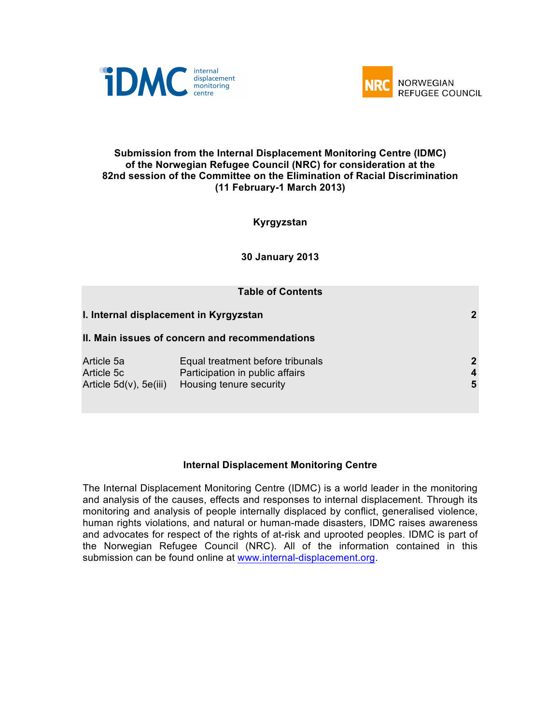



## **Submission from the Internal Displacement Monitoring Centre (IDMC) of the Norwegian Refugee Council (NRC) for consideration at the 82nd session of the Committee on the Elimination of Racial Discrimination (11 February-1 March 2013)**

**Kyrgyzstan**

**30 January 2013**

| <b>Table of Contents</b>                                |                                                                                                |                                       |
|---------------------------------------------------------|------------------------------------------------------------------------------------------------|---------------------------------------|
| I. Internal displacement in Kyrgyzstan                  |                                                                                                | $\mathbf{2}$                          |
|                                                         | II. Main issues of concern and recommendations                                                 |                                       |
| Article 5a<br>Article 5c<br>Article $5d(v)$ , $5e(iii)$ | Equal treatment before tribunals<br>Participation in public affairs<br>Housing tenure security | $\mathbf{2}$<br>$\boldsymbol{4}$<br>5 |

## **Internal Displacement Monitoring Centre**

The Internal Displacement Monitoring Centre (IDMC) is a world leader in the monitoring and analysis of the causes, effects and responses to internal displacement. Through its monitoring and analysis of people internally displaced by conflict, generalised violence, human rights violations, and natural or human-made disasters, IDMC raises awareness and advocates for respect of the rights of at-risk and uprooted peoples. IDMC is part of the Norwegian Refugee Council (NRC). All of the information contained in this submission can be found online at www.internal-displacement.org.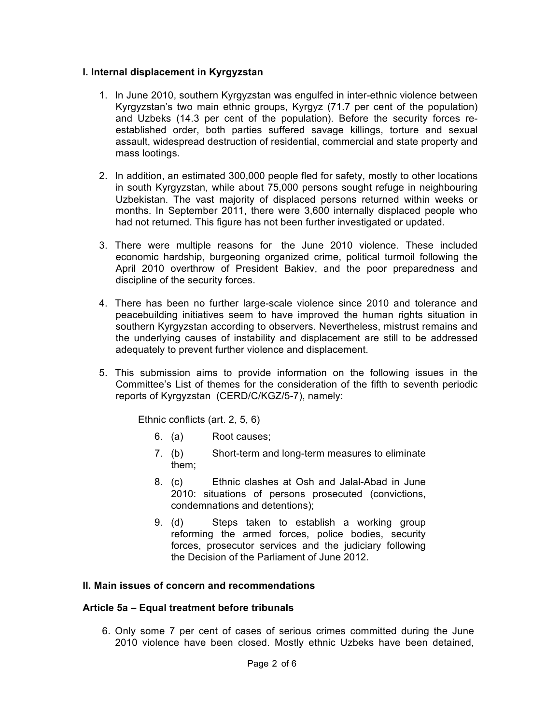## **I. Internal displacement in Kyrgyzstan**

- 1. In June 2010, southern Kyrgyzstan was engulfed in inter-ethnic violence between Kyrgyzstan's two main ethnic groups, Kyrgyz (71.7 per cent of the population) and Uzbeks (14.3 per cent of the population). Before the security forces reestablished order, both parties suffered savage killings, torture and sexual assault, widespread destruction of residential, commercial and state property and mass lootings.
- 2. In addition, an estimated 300,000 people fled for safety, mostly to other locations in south Kyrgyzstan, while about 75,000 persons sought refuge in neighbouring Uzbekistan. The vast majority of displaced persons returned within weeks or months. In September 2011, there were 3,600 internally displaced people who had not returned. This figure has not been further investigated or updated.
- 3. There were multiple reasons for the June 2010 violence. These included economic hardship, burgeoning organized crime, political turmoil following the April 2010 overthrow of President Bakiev, and the poor preparedness and discipline of the security forces.
- 4. There has been no further large-scale violence since 2010 and tolerance and peacebuilding initiatives seem to have improved the human rights situation in southern Kyrgyzstan according to observers. Nevertheless, mistrust remains and the underlying causes of instability and displacement are still to be addressed adequately to prevent further violence and displacement.
- 5. This submission aims to provide information on the following issues in the Committee's List of themes for the consideration of the fifth to seventh periodic reports of Kyrgyzstan (CERD/C/KGZ/5-7), namely:

Ethnic conflicts (art. 2, 5, 6)

- 6. (a) Root causes;
- 7. (b) Short-term and long-term measures to eliminate them;
- 8. (c) Ethnic clashes at Osh and Jalal-Abad in June 2010: situations of persons prosecuted (convictions, condemnations and detentions);
- 9. (d) Steps taken to establish a working group reforming the armed forces, police bodies, security forces, prosecutor services and the judiciary following the Decision of the Parliament of June 2012.

#### **II. Main issues of concern and recommendations**

#### **Article 5a – Equal treatment before tribunals**

6. Only some 7 per cent of cases of serious crimes committed during the June 2010 violence have been closed. Mostly ethnic Uzbeks have been detained,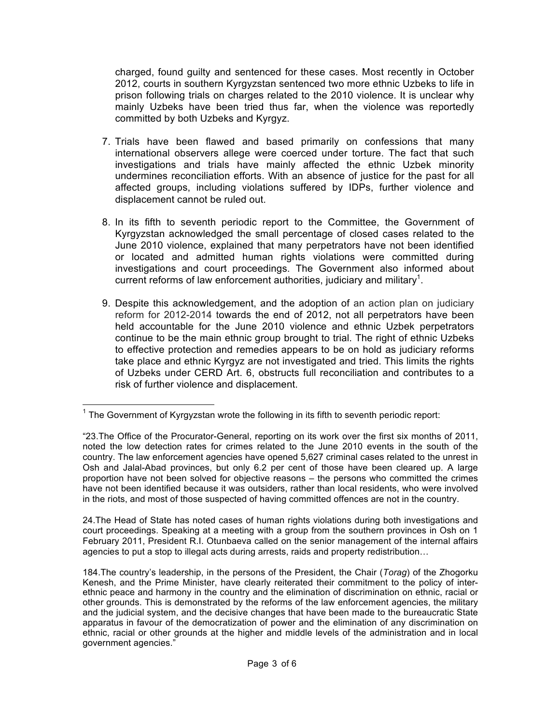charged, found guilty and sentenced for these cases. Most recently in October 2012, courts in southern Kyrgyzstan sentenced two more ethnic Uzbeks to life in prison following trials on charges related to the 2010 violence. It is unclear why mainly Uzbeks have been tried thus far, when the violence was reportedly committed by both Uzbeks and Kyrgyz.

- 7. Trials have been flawed and based primarily on confessions that many international observers allege were coerced under torture. The fact that such investigations and trials have mainly affected the ethnic Uzbek minority undermines reconciliation efforts. With an absence of justice for the past for all affected groups, including violations suffered by IDPs, further violence and displacement cannot be ruled out.
- 8. In its fifth to seventh periodic report to the Committee, the Government of Kyrgyzstan acknowledged the small percentage of closed cases related to the June 2010 violence, explained that many perpetrators have not been identified or located and admitted human rights violations were committed during investigations and court proceedings. The Government also informed about current reforms of law enforcement authorities, judiciary and military<sup>1</sup>.
- 9. Despite this acknowledgement, and the adoption of an action plan on judiciary reform for 2012-2014 towards the end of 2012, not all perpetrators have been held accountable for the June 2010 violence and ethnic Uzbek perpetrators continue to be the main ethnic group brought to trial. The right of ethnic Uzbeks to effective protection and remedies appears to be on hold as judiciary reforms take place and ethnic Kyrgyz are not investigated and tried. This limits the rights of Uzbeks under CERD Art. 6, obstructs full reconciliation and contributes to a risk of further violence and displacement.

24.The Head of State has noted cases of human rights violations during both investigations and court proceedings. Speaking at a meeting with a group from the southern provinces in Osh on 1 February 2011, President R.I. Otunbaeva called on the senior management of the internal affairs agencies to put a stop to illegal acts during arrests, raids and property redistribution…

 $1$  The Government of Kyrgyzstan wrote the following in its fifth to seventh periodic report:

<sup>&</sup>quot;23.The Office of the Procurator-General, reporting on its work over the first six months of 2011, noted the low detection rates for crimes related to the June 2010 events in the south of the country. The law enforcement agencies have opened 5,627 criminal cases related to the unrest in Osh and Jalal-Abad provinces, but only 6.2 per cent of those have been cleared up. A large proportion have not been solved for objective reasons – the persons who committed the crimes have not been identified because it was outsiders, rather than local residents, who were involved in the riots, and most of those suspected of having committed offences are not in the country.

<sup>184.</sup>The country's leadership, in the persons of the President, the Chair (*Torag*) of the Zhogorku Kenesh, and the Prime Minister, have clearly reiterated their commitment to the policy of interethnic peace and harmony in the country and the elimination of discrimination on ethnic, racial or other grounds. This is demonstrated by the reforms of the law enforcement agencies, the military and the judicial system, and the decisive changes that have been made to the bureaucratic State apparatus in favour of the democratization of power and the elimination of any discrimination on ethnic, racial or other grounds at the higher and middle levels of the administration and in local government agencies."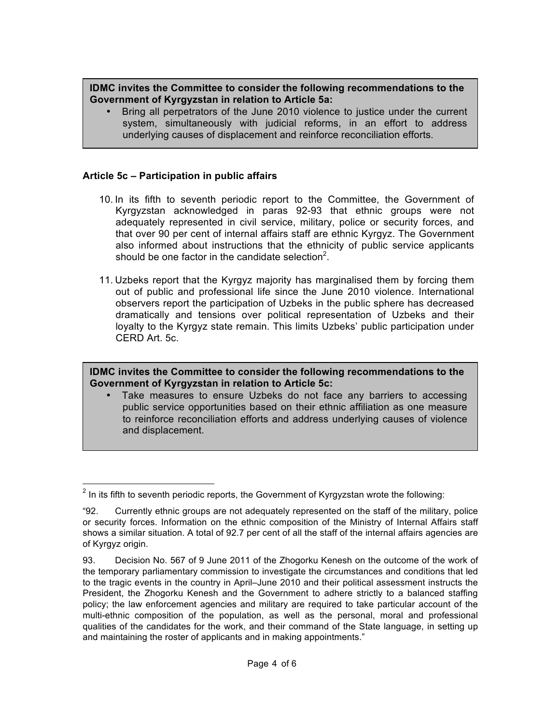# **IDMC invites the Committee to consider the following recommendations to the Government of Kyrgyzstan in relation to Article 5a:**

• Bring all perpetrators of the June 2010 violence to justice under the current system, simultaneously with judicial reforms, in an effort to address underlying causes of displacement and reinforce reconciliation efforts.

# **Article 5c – Participation in public affairs**

- 10. In its fifth to seventh periodic report to the Committee, the Government of Kyrgyzstan acknowledged in paras 92-93 that ethnic groups were not adequately represented in civil service, military, police or security forces, and that over 90 per cent of internal affairs staff are ethnic Kyrgyz. The Government also informed about instructions that the ethnicity of public service applicants should be one factor in the candidate selection<sup>2</sup>.
- 11. Uzbeks report that the Kyrgyz majority has marginalised them by forcing them out of public and professional life since the June 2010 violence. International observers report the participation of Uzbeks in the public sphere has decreased dramatically and tensions over political representation of Uzbeks and their loyalty to the Kyrgyz state remain. This limits Uzbeks' public participation under CERD Art. 5c.

**IDMC invites the Committee to consider the following recommendations to the Government of Kyrgyzstan in relation to Article 5c:**

• Take measures to ensure Uzbeks do not face any barriers to accessing public service opportunities based on their ethnic affiliation as one measure to reinforce reconciliation efforts and address underlying causes of violence and displacement.

 $2$  In its fifth to seventh periodic reports, the Government of Kyrgyzstan wrote the following:

<sup>&</sup>quot;92. Currently ethnic groups are not adequately represented on the staff of the military, police or security forces. Information on the ethnic composition of the Ministry of Internal Affairs staff shows a similar situation. A total of 92.7 per cent of all the staff of the internal affairs agencies are of Kyrgyz origin.

<sup>93.</sup> Decision No. 567 of 9 June 2011 of the Zhogorku Kenesh on the outcome of the work of the temporary parliamentary commission to investigate the circumstances and conditions that led to the tragic events in the country in April–June 2010 and their political assessment instructs the President, the Zhogorku Kenesh and the Government to adhere strictly to a balanced staffing policy; the law enforcement agencies and military are required to take particular account of the multi-ethnic composition of the population, as well as the personal, moral and professional qualities of the candidates for the work, and their command of the State language, in setting up and maintaining the roster of applicants and in making appointments."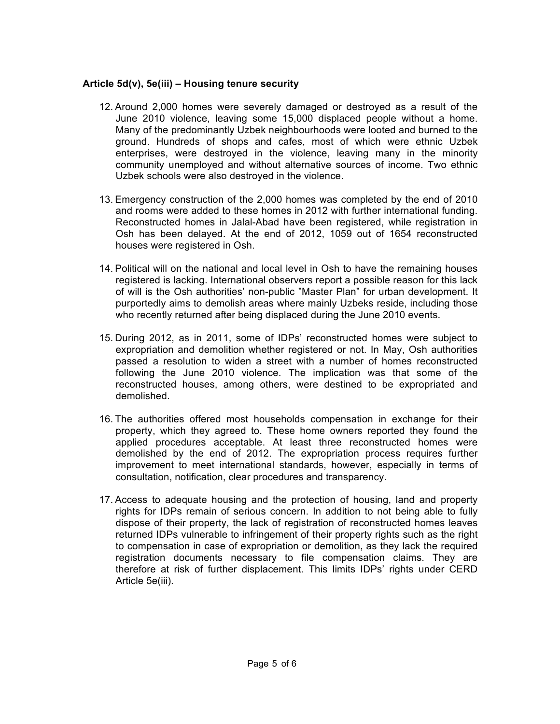# **Article 5d(v), 5e(iii) – Housing tenure security**

- 12. Around 2,000 homes were severely damaged or destroyed as a result of the June 2010 violence, leaving some 15,000 displaced people without a home. Many of the predominantly Uzbek neighbourhoods were looted and burned to the ground. Hundreds of shops and cafes, most of which were ethnic Uzbek enterprises, were destroyed in the violence, leaving many in the minority community unemployed and without alternative sources of income. Two ethnic Uzbek schools were also destroyed in the violence.
- 13. Emergency construction of the 2,000 homes was completed by the end of 2010 and rooms were added to these homes in 2012 with further international funding. Reconstructed homes in Jalal-Abad have been registered, while registration in Osh has been delayed. At the end of 2012, 1059 out of 1654 reconstructed houses were registered in Osh.
- 14. Political will on the national and local level in Osh to have the remaining houses registered is lacking. International observers report a possible reason for this lack of will is the Osh authorities' non-public "Master Plan" for urban development. It purportedly aims to demolish areas where mainly Uzbeks reside, including those who recently returned after being displaced during the June 2010 events.
- 15. During 2012, as in 2011, some of IDPs' reconstructed homes were subject to expropriation and demolition whether registered or not. In May, Osh authorities passed a resolution to widen a street with a number of homes reconstructed following the June 2010 violence. The implication was that some of the reconstructed houses, among others, were destined to be expropriated and demolished.
- 16. The authorities offered most households compensation in exchange for their property, which they agreed to. These home owners reported they found the applied procedures acceptable. At least three reconstructed homes were demolished by the end of 2012. The expropriation process requires further improvement to meet international standards, however, especially in terms of consultation, notification, clear procedures and transparency.
- 17. Access to adequate housing and the protection of housing, land and property rights for IDPs remain of serious concern. In addition to not being able to fully dispose of their property, the lack of registration of reconstructed homes leaves returned IDPs vulnerable to infringement of their property rights such as the right to compensation in case of expropriation or demolition, as they lack the required registration documents necessary to file compensation claims. They are therefore at risk of further displacement. This limits IDPs' rights under CERD Article 5e(iii).